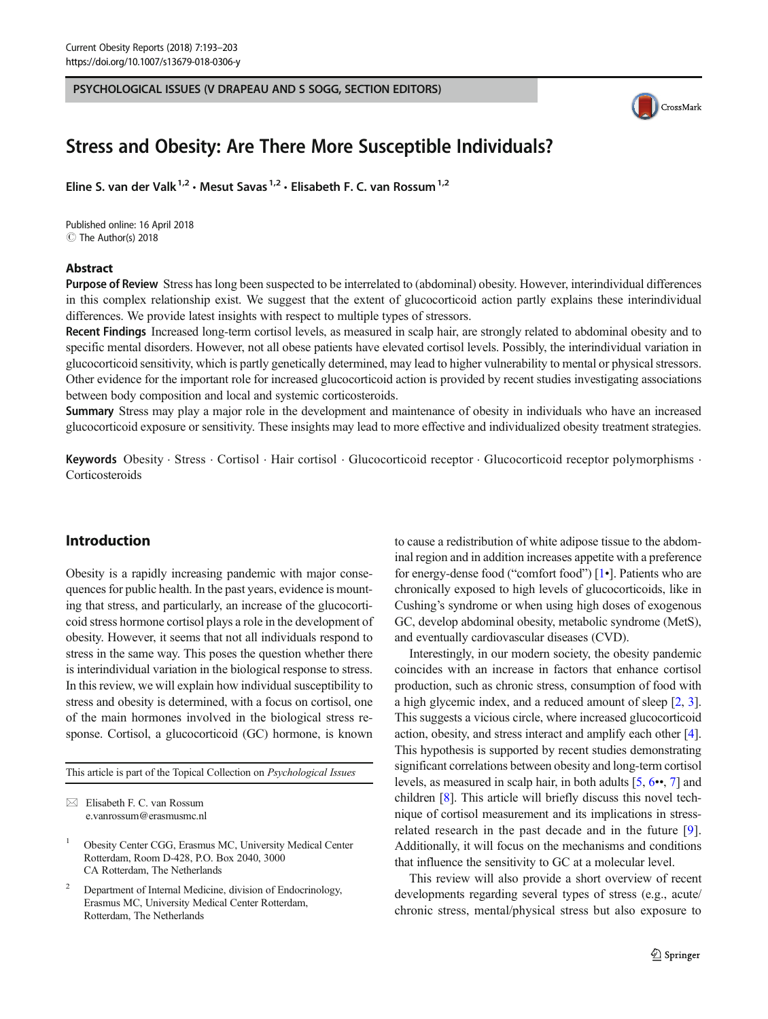PSYCHOLOGICAL ISSUES (V DRAPEAU AND S SOGG, SECTION EDITORS)



# Stress and Obesity: Are There More Susceptible Individuals?

Eline S. van der Valk<sup>1,2</sup> · Mesut Savas<sup>1,2</sup> · Elisabeth F. C. van Rossum<sup>1,2</sup>

Published online: 16 April 2018 C The Author(s) 2018

#### Abstract

Purpose of Review Stress has long been suspected to be interrelated to (abdominal) obesity. However, interindividual differences in this complex relationship exist. We suggest that the extent of glucocorticoid action partly explains these interindividual differences. We provide latest insights with respect to multiple types of stressors.

Recent Findings Increased long-term cortisol levels, as measured in scalp hair, are strongly related to abdominal obesity and to specific mental disorders. However, not all obese patients have elevated cortisol levels. Possibly, the interindividual variation in glucocorticoid sensitivity, which is partly genetically determined, may lead to higher vulnerability to mental or physical stressors. Other evidence for the important role for increased glucocorticoid action is provided by recent studies investigating associations between body composition and local and systemic corticosteroids.

Summary Stress may play a major role in the development and maintenance of obesity in individuals who have an increased glucocorticoid exposure or sensitivity. These insights may lead to more effective and individualized obesity treatment strategies.

Keywords Obesity . Stress . Cortisol . Hair cortisol . Glucocorticoid receptor . Glucocorticoid receptor polymorphisms . **Corticosteroids** 

# Introduction

Obesity is a rapidly increasing pandemic with major consequences for public health. In the past years, evidence is mounting that stress, and particularly, an increase of the glucocorticoid stress hormone cortisol plays a role in the development of obesity. However, it seems that not all individuals respond to stress in the same way. This poses the question whether there is interindividual variation in the biological response to stress. In this review, we will explain how individual susceptibility to stress and obesity is determined, with a focus on cortisol, one of the main hormones involved in the biological stress response. Cortisol, a glucocorticoid (GC) hormone, is known

This article is part of the Topical Collection on Psychological Issues

 $\boxtimes$  Elisabeth F. C. van Rossum [e.vanrossum@erasmusmc.nl](mailto:e.vanrossum@erasmusmc.nl)

<sup>1</sup> Obesity Center CGG, Erasmus MC, University Medical Center Rotterdam, Room D-428, P.O. Box 2040, 3000 CA Rotterdam, The Netherlands

<sup>2</sup> Department of Internal Medicine, division of Endocrinology, Erasmus MC, University Medical Center Rotterdam, Rotterdam, The Netherlands

to cause a redistribution of white adipose tissue to the abdominal region and in addition increases appetite with a preference for energy-dense food ("comfort food") [\[1](#page-7-0)•]. Patients who are chronically exposed to high levels of glucocorticoids, like in Cushing's syndrome or when using high doses of exogenous GC, develop abdominal obesity, metabolic syndrome (MetS), and eventually cardiovascular diseases (CVD).

Interestingly, in our modern society, the obesity pandemic coincides with an increase in factors that enhance cortisol production, such as chronic stress, consumption of food with a high glycemic index, and a reduced amount of sleep [[2,](#page-7-0) [3\]](#page-7-0). This suggests a vicious circle, where increased glucocorticoid action, obesity, and stress interact and amplify each other [[4\]](#page-7-0). This hypothesis is supported by recent studies demonstrating significant correlations between obesity and long-term cortisol levels, as measured in scalp hair, in both adults [\[5](#page-7-0), [6](#page-7-0)••, [7\]](#page-7-0) and children [\[8\]](#page-7-0). This article will briefly discuss this novel technique of cortisol measurement and its implications in stressrelated research in the past decade and in the future [\[9](#page-7-0)]. Additionally, it will focus on the mechanisms and conditions that influence the sensitivity to GC at a molecular level.

This review will also provide a short overview of recent developments regarding several types of stress (e.g., acute/ chronic stress, mental/physical stress but also exposure to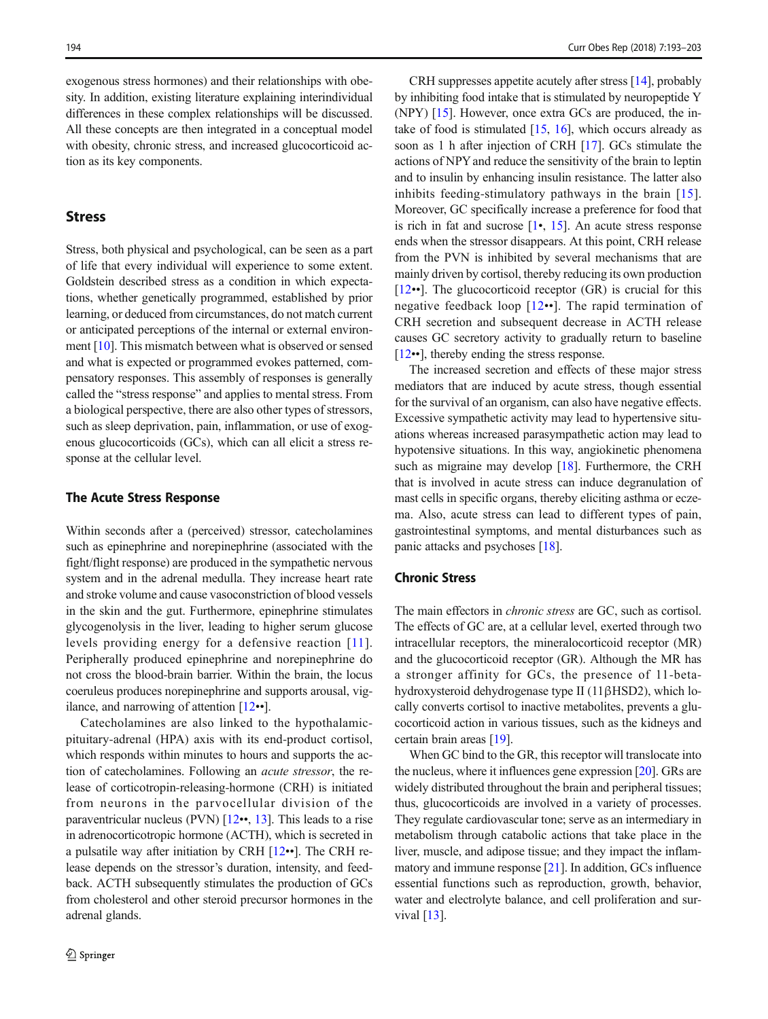exogenous stress hormones) and their relationships with obesity. In addition, existing literature explaining interindividual differences in these complex relationships will be discussed. All these concepts are then integrated in a conceptual model with obesity, chronic stress, and increased glucocorticoid action as its key components.

#### Stress

Stress, both physical and psychological, can be seen as a part of life that every individual will experience to some extent. Goldstein described stress as a condition in which expectations, whether genetically programmed, established by prior learning, or deduced from circumstances, do not match current or anticipated perceptions of the internal or external environment [[10](#page-7-0)]. This mismatch between what is observed or sensed and what is expected or programmed evokes patterned, compensatory responses. This assembly of responses is generally called the "stress response" and applies to mental stress. From a biological perspective, there are also other types of stressors, such as sleep deprivation, pain, inflammation, or use of exogenous glucocorticoids (GCs), which can all elicit a stress response at the cellular level.

#### The Acute Stress Response

Within seconds after a (perceived) stressor, catecholamines such as epinephrine and norepinephrine (associated with the fight/flight response) are produced in the sympathetic nervous system and in the adrenal medulla. They increase heart rate and stroke volume and cause vasoconstriction of blood vessels in the skin and the gut. Furthermore, epinephrine stimulates glycogenolysis in the liver, leading to higher serum glucose levels providing energy for a defensive reaction [[11](#page-7-0)]. Peripherally produced epinephrine and norepinephrine do not cross the blood-brain barrier. Within the brain, the locus coeruleus produces norepinephrine and supports arousal, vigilance, and narrowing of attention [\[12](#page-7-0)••].

Catecholamines are also linked to the hypothalamicpituitary-adrenal (HPA) axis with its end-product cortisol, which responds within minutes to hours and supports the action of catecholamines. Following an acute stressor, the release of corticotropin-releasing-hormone (CRH) is initiated from neurons in the parvocellular division of the paraventricular nucleus (PVN) [[12](#page-7-0)••, [13](#page-7-0)]. This leads to a rise in adrenocorticotropic hormone (ACTH), which is secreted in a pulsatile way after initiation by CRH [[12](#page-7-0)••]. The CRH release depends on the stressor's duration, intensity, and feedback. ACTH subsequently stimulates the production of GCs from cholesterol and other steroid precursor hormones in the adrenal glands.

CRH suppresses appetite acutely after stress [\[14\]](#page-7-0), probably by inhibiting food intake that is stimulated by neuropeptide Y (NPY) [\[15](#page-7-0)]. However, once extra GCs are produced, the intake of food is stimulated  $[15, 16]$  $[15, 16]$  $[15, 16]$ , which occurs already as soon as 1 h after injection of CRH [[17](#page-7-0)]. GCs stimulate the actions of NPY and reduce the sensitivity of the brain to leptin and to insulin by enhancing insulin resistance. The latter also inhibits feeding-stimulatory pathways in the brain [[15](#page-7-0)]. Moreover, GC specifically increase a preference for food that is rich in fat and sucrose  $[1, 15]$  $[1, 15]$  $[1, 15]$  $[1, 15]$ . An acute stress response ends when the stressor disappears. At this point, CRH release from the PVN is inhibited by several mechanisms that are mainly driven by cortisol, thereby reducing its own production  $[12\bullet]$  $[12\bullet]$ . The glucocorticoid receptor (GR) is crucial for this negative feedback loop [[12](#page-7-0)••]. The rapid termination of CRH secretion and subsequent decrease in ACTH release causes GC secretory activity to gradually return to baseline [\[12](#page-7-0)••], thereby ending the stress response.

The increased secretion and effects of these major stress mediators that are induced by acute stress, though essential for the survival of an organism, can also have negative effects. Excessive sympathetic activity may lead to hypertensive situations whereas increased parasympathetic action may lead to hypotensive situations. In this way, angiokinetic phenomena such as migraine may develop [\[18](#page-7-0)]. Furthermore, the CRH that is involved in acute stress can induce degranulation of mast cells in specific organs, thereby eliciting asthma or eczema. Also, acute stress can lead to different types of pain, gastrointestinal symptoms, and mental disturbances such as panic attacks and psychoses [\[18\]](#page-7-0).

#### Chronic Stress

The main effectors in chronic stress are GC, such as cortisol. The effects of GC are, at a cellular level, exerted through two intracellular receptors, the mineralocorticoid receptor (MR) and the glucocorticoid receptor (GR). Although the MR has a stronger affinity for GCs, the presence of 11-betahydroxysteroid dehydrogenase type II (11βHSD2), which locally converts cortisol to inactive metabolites, prevents a glucocorticoid action in various tissues, such as the kidneys and certain brain areas [[19\]](#page-7-0).

When GC bind to the GR, this receptor will translocate into the nucleus, where it influences gene expression [[20](#page-7-0)]. GRs are widely distributed throughout the brain and peripheral tissues; thus, glucocorticoids are involved in a variety of processes. They regulate cardiovascular tone; serve as an intermediary in metabolism through catabolic actions that take place in the liver, muscle, and adipose tissue; and they impact the inflammatory and immune response [\[21\]](#page-7-0). In addition, GCs influence essential functions such as reproduction, growth, behavior, water and electrolyte balance, and cell proliferation and survival  $[13]$  $[13]$ .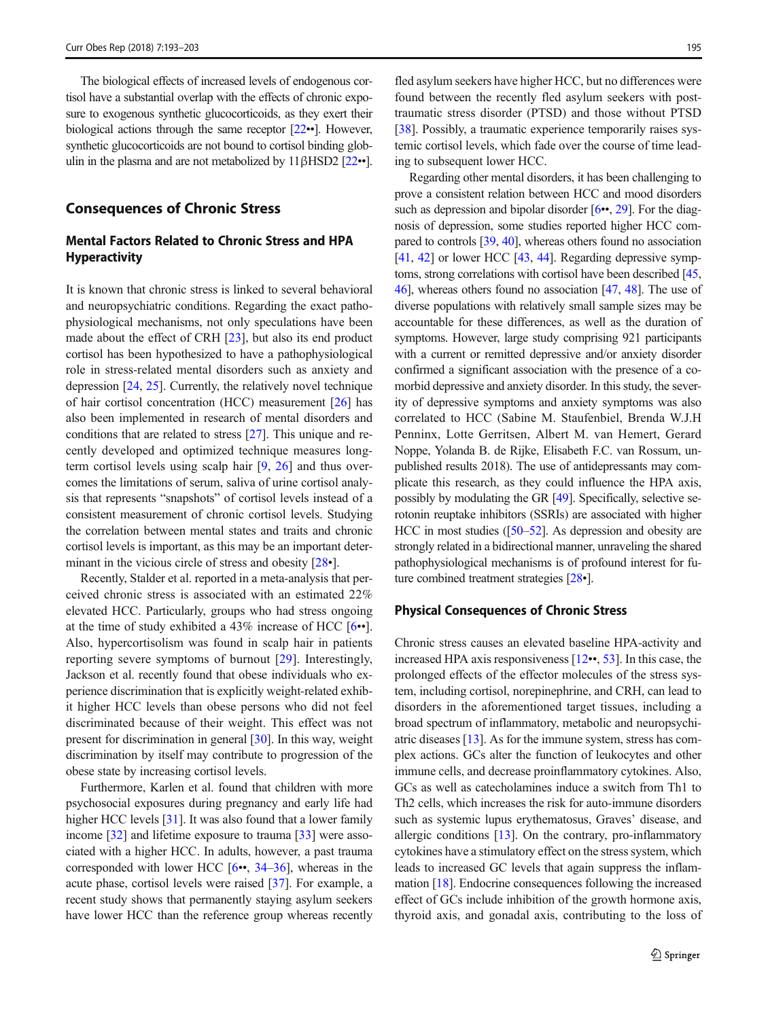The biological effects of increased levels of endogenous cortisol have a substantial overlap with the effects of chronic exposure to exogenous synthetic glucocorticoids, as they exert their biological actions through the same receptor [\[22](#page-8-0)••]. However, synthetic glucocorticoids are not bound to cortisol binding globulin in the plasma and are not metabolized by 11βHSD2 [\[22](#page-8-0)••].

#### Consequences of Chronic Stress

## Mental Factors Related to Chronic Stress and HPA Hyperactivity

It is known that chronic stress is linked to several behavioral and neuropsychiatric conditions. Regarding the exact pathophysiological mechanisms, not only speculations have been made about the effect of CRH [\[23](#page-8-0)], but also its end product cortisol has been hypothesized to have a pathophysiological role in stress-related mental disorders such as anxiety and depression [\[24](#page-8-0), [25](#page-8-0)]. Currently, the relatively novel technique of hair cortisol concentration (HCC) measurement [\[26](#page-8-0)] has also been implemented in research of mental disorders and conditions that are related to stress [\[27](#page-8-0)]. This unique and recently developed and optimized technique measures longterm cortisol levels using scalp hair [[9,](#page-7-0) [26\]](#page-8-0) and thus overcomes the limitations of serum, saliva of urine cortisol analysis that represents "snapshots" of cortisol levels instead of a consistent measurement of chronic cortisol levels. Studying the correlation between mental states and traits and chronic cortisol levels is important, as this may be an important determinant in the vicious circle of stress and obesity  $[28 \cdot]$  $[28 \cdot]$  $[28 \cdot]$ .

Recently, Stalder et al. reported in a meta-analysis that perceived chronic stress is associated with an estimated 22% elevated HCC. Particularly, groups who had stress ongoing at the time of study exhibited a 43% increase of HCC [\[6](#page-7-0)••]. Also, hypercortisolism was found in scalp hair in patients reporting severe symptoms of burnout [[29\]](#page-8-0). Interestingly, Jackson et al. recently found that obese individuals who experience discrimination that is explicitly weight-related exhibit higher HCC levels than obese persons who did not feel discriminated because of their weight. This effect was not present for discrimination in general [\[30](#page-8-0)]. In this way, weight discrimination by itself may contribute to progression of the obese state by increasing cortisol levels.

Furthermore, Karlen et al. found that children with more psychosocial exposures during pregnancy and early life had higher HCC levels [\[31\]](#page-8-0). It was also found that a lower family income [[32](#page-8-0)] and lifetime exposure to trauma [[33\]](#page-8-0) were associated with a higher HCC. In adults, however, a past trauma corresponded with lower HCC  $[6·•,  $34-36]$  $[6·•,  $34-36]$  $[6·•,  $34-36]$  $[6·•,  $34-36]$  $[6·•,  $34-36]$  $[6·•,  $34-36]$ , whereas in the$$$$$$ acute phase, cortisol levels were raised [\[37\]](#page-8-0). For example, a recent study shows that permanently staying asylum seekers have lower HCC than the reference group whereas recently fled asylum seekers have higher HCC, but no differences were found between the recently fled asylum seekers with posttraumatic stress disorder (PTSD) and those without PTSD [\[38](#page-8-0)]. Possibly, a traumatic experience temporarily raises systemic cortisol levels, which fade over the course of time leading to subsequent lower HCC.

Regarding other mental disorders, it has been challenging to prove a consistent relation between HCC and mood disorders such as depression and bipolar disorder [\[6](#page-7-0)••, [29](#page-8-0)]. For the diagnosis of depression, some studies reported higher HCC compared to controls [\[39,](#page-8-0) [40\]](#page-8-0), whereas others found no association [\[41,](#page-8-0) [42\]](#page-8-0) or lower HCC [[43](#page-8-0), [44](#page-8-0)]. Regarding depressive symptoms, strong correlations with cortisol have been described [\[45,](#page-8-0) [46\]](#page-8-0), whereas others found no association [[47](#page-8-0), [48](#page-8-0)]. The use of diverse populations with relatively small sample sizes may be accountable for these differences, as well as the duration of symptoms. However, large study comprising 921 participants with a current or remitted depressive and/or anxiety disorder confirmed a significant association with the presence of a comorbid depressive and anxiety disorder. In this study, the severity of depressive symptoms and anxiety symptoms was also correlated to HCC (Sabine M. Staufenbiel, Brenda W.J.H Penninx, Lotte Gerritsen, Albert M. van Hemert, Gerard Noppe, Yolanda B. de Rijke, Elisabeth F.C. van Rossum, unpublished results 2018). The use of antidepressants may complicate this research, as they could influence the HPA axis, possibly by modulating the GR [\[49](#page-8-0)]. Specifically, selective serotonin reuptake inhibitors (SSRIs) are associated with higher HCC in most studies ([\[50](#page-8-0)–[52](#page-8-0)]. As depression and obesity are strongly related in a bidirectional manner, unraveling the shared pathophysiological mechanisms is of profound interest for future combined treatment strategies [\[28](#page-8-0)•].

#### Physical Consequences of Chronic Stress

Chronic stress causes an elevated baseline HPA-activity and increased HPA axis responsiveness [[12](#page-7-0)••, [53](#page-9-0)]. In this case, the prolonged effects of the effector molecules of the stress system, including cortisol, norepinephrine, and CRH, can lead to disorders in the aforementioned target tissues, including a broad spectrum of inflammatory, metabolic and neuropsychiatric diseases [\[13\]](#page-7-0). As for the immune system, stress has complex actions. GCs alter the function of leukocytes and other immune cells, and decrease proinflammatory cytokines. Also, GCs as well as catecholamines induce a switch from Th1 to Th2 cells, which increases the risk for auto-immune disorders such as systemic lupus erythematosus, Graves' disease, and allergic conditions [\[13](#page-7-0)]. On the contrary, pro-inflammatory cytokines have a stimulatory effect on the stress system, which leads to increased GC levels that again suppress the inflammation [\[18](#page-7-0)]. Endocrine consequences following the increased effect of GCs include inhibition of the growth hormone axis, thyroid axis, and gonadal axis, contributing to the loss of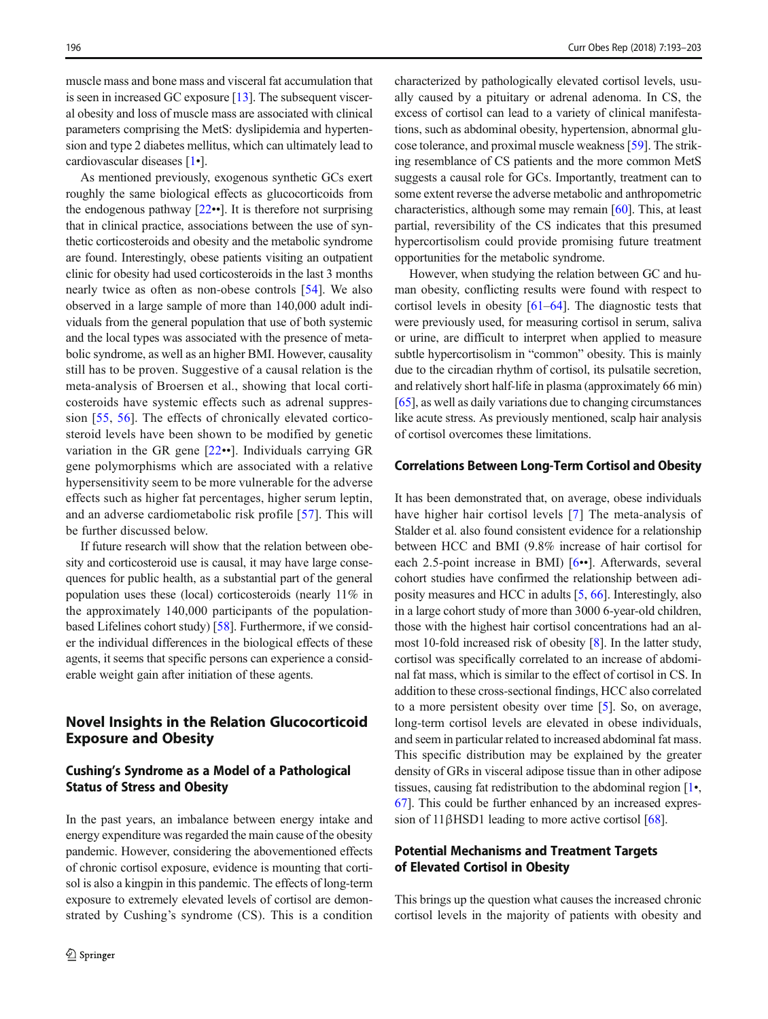muscle mass and bone mass and visceral fat accumulation that is seen in increased GC exposure [\[13\]](#page-7-0). The subsequent visceral obesity and loss of muscle mass are associated with clinical parameters comprising the MetS: dyslipidemia and hypertension and type 2 diabetes mellitus, which can ultimately lead to cardiovascular diseases [\[1](#page-7-0)•].

As mentioned previously, exogenous synthetic GCs exert roughly the same biological effects as glucocorticoids from the endogenous pathway  $[22\bullet]$  $[22\bullet]$ . It is therefore not surprising that in clinical practice, associations between the use of synthetic corticosteroids and obesity and the metabolic syndrome are found. Interestingly, obese patients visiting an outpatient clinic for obesity had used corticosteroids in the last 3 months nearly twice as often as non-obese controls [[54\]](#page-9-0). We also observed in a large sample of more than 140,000 adult individuals from the general population that use of both systemic and the local types was associated with the presence of metabolic syndrome, as well as an higher BMI. However, causality still has to be proven. Suggestive of a causal relation is the meta-analysis of Broersen et al., showing that local corticosteroids have systemic effects such as adrenal suppression [[55,](#page-9-0) [56](#page-9-0)]. The effects of chronically elevated corticosteroid levels have been shown to be modified by genetic variation in the GR gene [[22](#page-8-0)••]. Individuals carrying GR gene polymorphisms which are associated with a relative hypersensitivity seem to be more vulnerable for the adverse effects such as higher fat percentages, higher serum leptin, and an adverse cardiometabolic risk profile [[57\]](#page-9-0). This will be further discussed below.

If future research will show that the relation between obesity and corticosteroid use is causal, it may have large consequences for public health, as a substantial part of the general population uses these (local) corticosteroids (nearly 11% in the approximately 140,000 participants of the populationbased Lifelines cohort study) [\[58](#page-9-0)]. Furthermore, if we consider the individual differences in the biological effects of these agents, it seems that specific persons can experience a considerable weight gain after initiation of these agents.

# Novel Insights in the Relation Glucocorticoid Exposure and Obesity

## Cushing's Syndrome as a Model of a Pathological Status of Stress and Obesity

In the past years, an imbalance between energy intake and energy expenditure was regarded the main cause of the obesity pandemic. However, considering the abovementioned effects of chronic cortisol exposure, evidence is mounting that cortisol is also a kingpin in this pandemic. The effects of long-term exposure to extremely elevated levels of cortisol are demonstrated by Cushing's syndrome (CS). This is a condition characterized by pathologically elevated cortisol levels, usually caused by a pituitary or adrenal adenoma. In CS, the excess of cortisol can lead to a variety of clinical manifestations, such as abdominal obesity, hypertension, abnormal glucose tolerance, and proximal muscle weakness [[59](#page-9-0)]. The striking resemblance of CS patients and the more common MetS suggests a causal role for GCs. Importantly, treatment can to some extent reverse the adverse metabolic and anthropometric characteristics, although some may remain [\[60\]](#page-9-0). This, at least partial, reversibility of the CS indicates that this presumed hypercortisolism could provide promising future treatment opportunities for the metabolic syndrome.

However, when studying the relation between GC and human obesity, conflicting results were found with respect to cortisol levels in obesity [[61](#page-9-0)–[64\]](#page-9-0). The diagnostic tests that were previously used, for measuring cortisol in serum, saliva or urine, are difficult to interpret when applied to measure subtle hypercortisolism in "common" obesity. This is mainly due to the circadian rhythm of cortisol, its pulsatile secretion, and relatively short half-life in plasma (approximately 66 min) [\[65](#page-9-0)], as well as daily variations due to changing circumstances like acute stress. As previously mentioned, scalp hair analysis of cortisol overcomes these limitations.

#### Correlations Between Long-Term Cortisol and Obesity

It has been demonstrated that, on average, obese individuals have higher hair cortisol levels [\[7](#page-7-0)] The meta-analysis of Stalder et al. also found consistent evidence for a relationship between HCC and BMI (9.8% increase of hair cortisol for each 2.5-point increase in BMI) [\[6](#page-7-0)••]. Afterwards, several cohort studies have confirmed the relationship between adiposity measures and HCC in adults [\[5](#page-7-0), [66\]](#page-9-0). Interestingly, also in a large cohort study of more than 3000 6-year-old children, those with the highest hair cortisol concentrations had an almost 10-fold increased risk of obesity [\[8](#page-7-0)]. In the latter study, cortisol was specifically correlated to an increase of abdominal fat mass, which is similar to the effect of cortisol in CS. In addition to these cross-sectional findings, HCC also correlated to a more persistent obesity over time [\[5](#page-7-0)]. So, on average, long-term cortisol levels are elevated in obese individuals, and seem in particular related to increased abdominal fat mass. This specific distribution may be explained by the greater density of GRs in visceral adipose tissue than in other adipose tissues, causing fat redistribution to the abdominal region [[1](#page-7-0)•, [67\]](#page-9-0). This could be further enhanced by an increased expression of 11βHSD1 leading to more active cortisol  $[68]$  $[68]$ .

## Potential Mechanisms and Treatment Targets of Elevated Cortisol in Obesity

This brings up the question what causes the increased chronic cortisol levels in the majority of patients with obesity and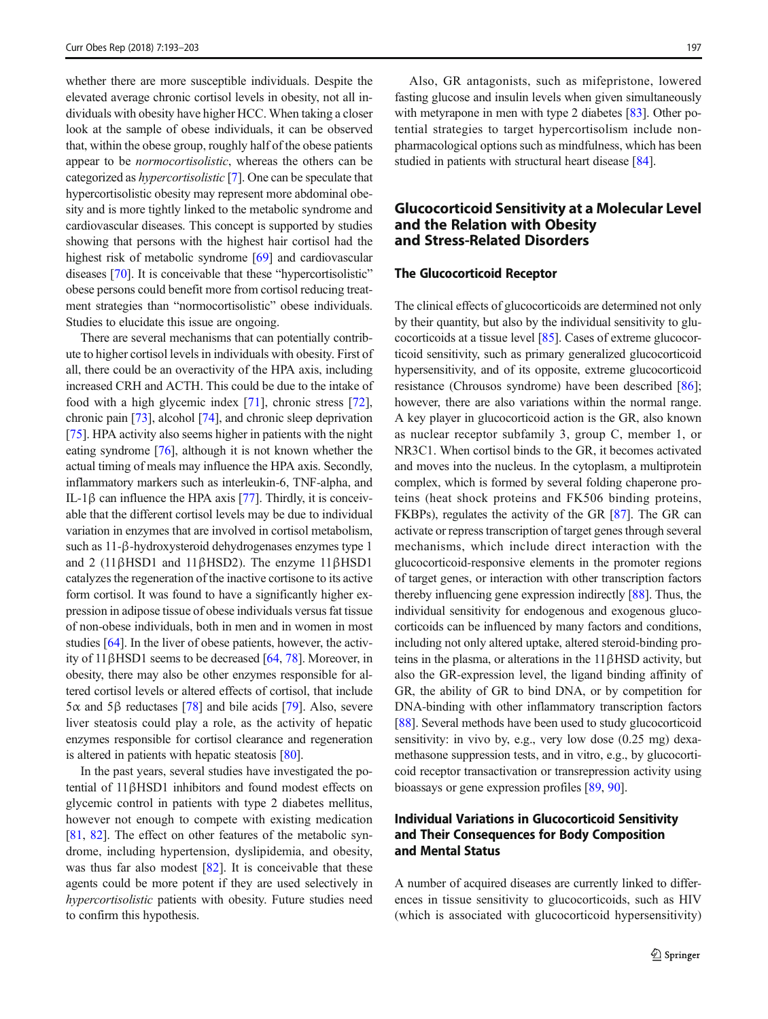whether there are more susceptible individuals. Despite the elevated average chronic cortisol levels in obesity, not all individuals with obesity have higher HCC. When taking a closer look at the sample of obese individuals, it can be observed that, within the obese group, roughly half of the obese patients appear to be normocortisolistic, whereas the others can be categorized as hypercortisolistic [\[7](#page-7-0)]. One can be speculate that hypercortisolistic obesity may represent more abdominal obesity and is more tightly linked to the metabolic syndrome and cardiovascular diseases. This concept is supported by studies showing that persons with the highest hair cortisol had the highest risk of metabolic syndrome [[69\]](#page-9-0) and cardiovascular diseases [[70](#page-9-0)]. It is conceivable that these "hypercortisolistic" obese persons could benefit more from cortisol reducing treatment strategies than "normocortisolistic" obese individuals. Studies to elucidate this issue are ongoing.

There are several mechanisms that can potentially contribute to higher cortisol levels in individuals with obesity. First of all, there could be an overactivity of the HPA axis, including increased CRH and ACTH. This could be due to the intake of food with a high glycemic index [\[71](#page-9-0)], chronic stress [\[72](#page-9-0)], chronic pain [[73\]](#page-9-0), alcohol [[74\]](#page-9-0), and chronic sleep deprivation [\[75\]](#page-9-0). HPA activity also seems higher in patients with the night eating syndrome [[76](#page-9-0)], although it is not known whether the actual timing of meals may influence the HPA axis. Secondly, inflammatory markers such as interleukin-6, TNF-alpha, and IL-1β can influence the HPA axis [\[77\]](#page-9-0). Thirdly, it is conceivable that the different cortisol levels may be due to individual variation in enzymes that are involved in cortisol metabolism, such as 11-β-hydroxysteroid dehydrogenases enzymes type 1 and 2 (11βHSD1 and 11βHSD2). The enzyme 11βHSD1 catalyzes the regeneration of the inactive cortisone to its active form cortisol. It was found to have a significantly higher expression in adipose tissue of obese individuals versus fat tissue of non-obese individuals, both in men and in women in most studies [\[64](#page-9-0)]. In the liver of obese patients, however, the activity of  $11β$ HSD1 seems to be decreased [\[64,](#page-9-0) [78](#page-9-0)]. Moreover, in obesity, there may also be other enzymes responsible for altered cortisol levels or altered effects of cortisol, that include 5α and 5β reductases [\[78](#page-9-0)] and bile acids [[79\]](#page-9-0). Also, severe liver steatosis could play a role, as the activity of hepatic enzymes responsible for cortisol clearance and regeneration is altered in patients with hepatic steatosis [\[80\]](#page-9-0).

In the past years, several studies have investigated the potential of 11βHSD1 inhibitors and found modest effects on glycemic control in patients with type 2 diabetes mellitus, however not enough to compete with existing medication [\[81,](#page-9-0) [82\]](#page-9-0). The effect on other features of the metabolic syndrome, including hypertension, dyslipidemia, and obesity, was thus far also modest  $[82]$  $[82]$ . It is conceivable that these agents could be more potent if they are used selectively in hypercortisolistic patients with obesity. Future studies need to confirm this hypothesis.

Also, GR antagonists, such as mifepristone, lowered fasting glucose and insulin levels when given simultaneously with metyrapone in men with type 2 diabetes [[83](#page-9-0)]. Other potential strategies to target hypercortisolism include nonpharmacological options such as mindfulness, which has been studied in patients with structural heart disease [[84](#page-9-0)].

## Glucocorticoid Sensitivity at a Molecular Level and the Relation with Obesity and Stress-Related Disorders

#### The Glucocorticoid Receptor

The clinical effects of glucocorticoids are determined not only by their quantity, but also by the individual sensitivity to glucocorticoids at a tissue level [\[85](#page-9-0)]. Cases of extreme glucocorticoid sensitivity, such as primary generalized glucocorticoid hypersensitivity, and of its opposite, extreme glucocorticoid resistance (Chrousos syndrome) have been described [\[86](#page-10-0)]; however, there are also variations within the normal range. A key player in glucocorticoid action is the GR, also known as nuclear receptor subfamily 3, group C, member 1, or NR3C1. When cortisol binds to the GR, it becomes activated and moves into the nucleus. In the cytoplasm, a multiprotein complex, which is formed by several folding chaperone proteins (heat shock proteins and FK506 binding proteins, FKBPs), regulates the activity of the GR [\[87\]](#page-10-0). The GR can activate or repress transcription of target genes through several mechanisms, which include direct interaction with the glucocorticoid-responsive elements in the promoter regions of target genes, or interaction with other transcription factors thereby influencing gene expression indirectly [\[88](#page-10-0)]. Thus, the individual sensitivity for endogenous and exogenous glucocorticoids can be influenced by many factors and conditions, including not only altered uptake, altered steroid-binding proteins in the plasma, or alterations in the 11βHSD activity, but also the GR-expression level, the ligand binding affinity of GR, the ability of GR to bind DNA, or by competition for DNA-binding with other inflammatory transcription factors [\[88](#page-10-0)]. Several methods have been used to study glucocorticoid sensitivity: in vivo by, e.g., very low dose (0.25 mg) dexamethasone suppression tests, and in vitro, e.g., by glucocorticoid receptor transactivation or transrepression activity using bioassays or gene expression profiles [[89](#page-10-0), [90](#page-10-0)].

## Individual Variations in Glucocorticoid Sensitivity and Their Consequences for Body Composition and Mental Status

A number of acquired diseases are currently linked to differences in tissue sensitivity to glucocorticoids, such as HIV (which is associated with glucocorticoid hypersensitivity)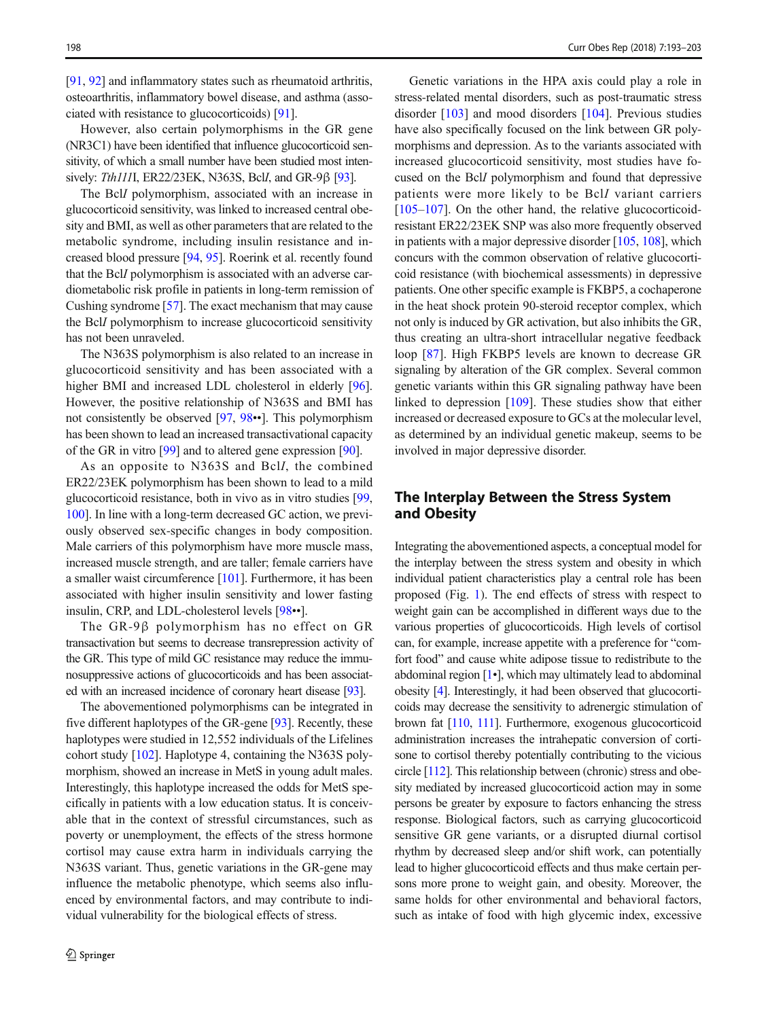[\[91,](#page-10-0) [92\]](#page-10-0) and inflammatory states such as rheumatoid arthritis, osteoarthritis, inflammatory bowel disease, and asthma (associated with resistance to glucocorticoids) [[91](#page-10-0)].

However, also certain polymorphisms in the GR gene (NR3C1) have been identified that influence glucocorticoid sensitivity, of which a small number have been studied most inten-sively: Tth111I, ER22/23EK, N363S, BclI, and GR-9β [\[93](#page-10-0)].

The BclI polymorphism, associated with an increase in glucocorticoid sensitivity, was linked to increased central obesity and BMI, as well as other parameters that are related to the metabolic syndrome, including insulin resistance and increased blood pressure [\[94,](#page-10-0) [95\]](#page-10-0). Roerink et al. recently found that the BclI polymorphism is associated with an adverse cardiometabolic risk profile in patients in long-term remission of Cushing syndrome [\[57\]](#page-9-0). The exact mechanism that may cause the BclI polymorphism to increase glucocorticoid sensitivity has not been unraveled.

The N363S polymorphism is also related to an increase in glucocorticoid sensitivity and has been associated with a higher BMI and increased LDL cholesterol in elderly [[96](#page-10-0)]. However, the positive relationship of N363S and BMI has not consistently be observed [[97](#page-10-0), [98](#page-10-0)••]. This polymorphism has been shown to lead an increased transactivational capacity of the GR in vitro [[99](#page-10-0)] and to altered gene expression [\[90\]](#page-10-0).

As an opposite to N363S and BclI, the combined ER22/23EK polymorphism has been shown to lead to a mild glucocorticoid resistance, both in vivo as in vitro studies [[99,](#page-10-0) [100\]](#page-10-0). In line with a long-term decreased GC action, we previously observed sex-specific changes in body composition. Male carriers of this polymorphism have more muscle mass, increased muscle strength, and are taller; female carriers have a smaller waist circumference [[101\]](#page-10-0). Furthermore, it has been associated with higher insulin sensitivity and lower fasting insulin, CRP, and LDL-cholesterol levels [[98](#page-10-0)••].

The GR-9β polymorphism has no effect on GR transactivation but seems to decrease transrepression activity of the GR. This type of mild GC resistance may reduce the immunosuppressive actions of glucocorticoids and has been associated with an increased incidence of coronary heart disease [\[93\]](#page-10-0).

The abovementioned polymorphisms can be integrated in five different haplotypes of the GR-gene [\[93\]](#page-10-0). Recently, these haplotypes were studied in 12,552 individuals of the Lifelines cohort study [\[102\]](#page-10-0). Haplotype 4, containing the N363S polymorphism, showed an increase in MetS in young adult males. Interestingly, this haplotype increased the odds for MetS specifically in patients with a low education status. It is conceivable that in the context of stressful circumstances, such as poverty or unemployment, the effects of the stress hormone cortisol may cause extra harm in individuals carrying the N363S variant. Thus, genetic variations in the GR-gene may influence the metabolic phenotype, which seems also influenced by environmental factors, and may contribute to individual vulnerability for the biological effects of stress.

Genetic variations in the HPA axis could play a role in stress-related mental disorders, such as post-traumatic stress disorder [\[103](#page-10-0)] and mood disorders [\[104](#page-10-0)]. Previous studies have also specifically focused on the link between GR polymorphisms and depression. As to the variants associated with increased glucocorticoid sensitivity, most studies have focused on the BclI polymorphism and found that depressive patients were more likely to be BclI variant carriers [\[105](#page-10-0)–[107](#page-10-0)]. On the other hand, the relative glucocorticoidresistant ER22/23EK SNP was also more frequently observed in patients with a major depressive disorder [[105](#page-10-0), [108\]](#page-10-0), which concurs with the common observation of relative glucocorticoid resistance (with biochemical assessments) in depressive patients. One other specific example is FKBP5, a cochaperone in the heat shock protein 90-steroid receptor complex, which not only is induced by GR activation, but also inhibits the GR, thus creating an ultra-short intracellular negative feedback loop [[87\]](#page-10-0). High FKBP5 levels are known to decrease GR signaling by alteration of the GR complex. Several common genetic variants within this GR signaling pathway have been linked to depression [\[109](#page-10-0)]. These studies show that either increased or decreased exposure to GCs at the molecular level, as determined by an individual genetic makeup, seems to be involved in major depressive disorder.

# The Interplay Between the Stress System and Obesity

Integrating the abovementioned aspects, a conceptual model for the interplay between the stress system and obesity in which individual patient characteristics play a central role has been proposed (Fig. [1\)](#page-6-0). The end effects of stress with respect to weight gain can be accomplished in different ways due to the various properties of glucocorticoids. High levels of cortisol can, for example, increase appetite with a preference for "comfort food" and cause white adipose tissue to redistribute to the abdominal region [\[1](#page-7-0)•], which may ultimately lead to abdominal obesity [\[4](#page-7-0)]. Interestingly, it had been observed that glucocorticoids may decrease the sensitivity to adrenergic stimulation of brown fat [\[110](#page-10-0), [111\]](#page-10-0). Furthermore, exogenous glucocorticoid administration increases the intrahepatic conversion of cortisone to cortisol thereby potentially contributing to the vicious circle [\[112\]](#page-10-0). This relationship between (chronic) stress and obesity mediated by increased glucocorticoid action may in some persons be greater by exposure to factors enhancing the stress response. Biological factors, such as carrying glucocorticoid sensitive GR gene variants, or a disrupted diurnal cortisol rhythm by decreased sleep and/or shift work, can potentially lead to higher glucocorticoid effects and thus make certain persons more prone to weight gain, and obesity. Moreover, the same holds for other environmental and behavioral factors, such as intake of food with high glycemic index, excessive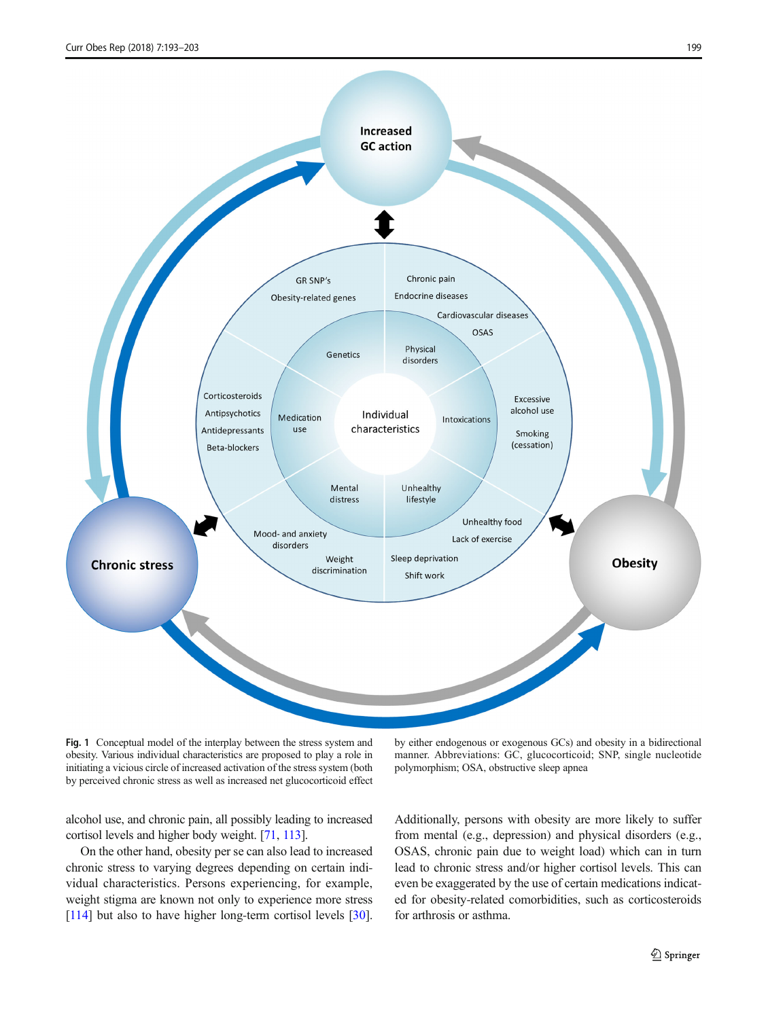<span id="page-6-0"></span>

Fig. 1 Conceptual model of the interplay between the stress system and obesity. Various individual characteristics are proposed to play a role in initiating a vicious circle of increased activation of the stress system (both by perceived chronic stress as well as increased net glucocorticoid effect

alcohol use, and chronic pain, all possibly leading to increased cortisol levels and higher body weight. [\[71,](#page-9-0) [113\]](#page-10-0).

On the other hand, obesity per se can also lead to increased chronic stress to varying degrees depending on certain individual characteristics. Persons experiencing, for example, weight stigma are known not only to experience more stress [\[114](#page-10-0)] but also to have higher long-term cortisol levels [[30\]](#page-8-0).

by either endogenous or exogenous GCs) and obesity in a bidirectional manner. Abbreviations: GC, glucocorticoid; SNP, single nucleotide polymorphism; OSA, obstructive sleep apnea

Additionally, persons with obesity are more likely to suffer from mental (e.g., depression) and physical disorders (e.g., OSAS, chronic pain due to weight load) which can in turn lead to chronic stress and/or higher cortisol levels. This can even be exaggerated by the use of certain medications indicated for obesity-related comorbidities, such as corticosteroids for arthrosis or asthma.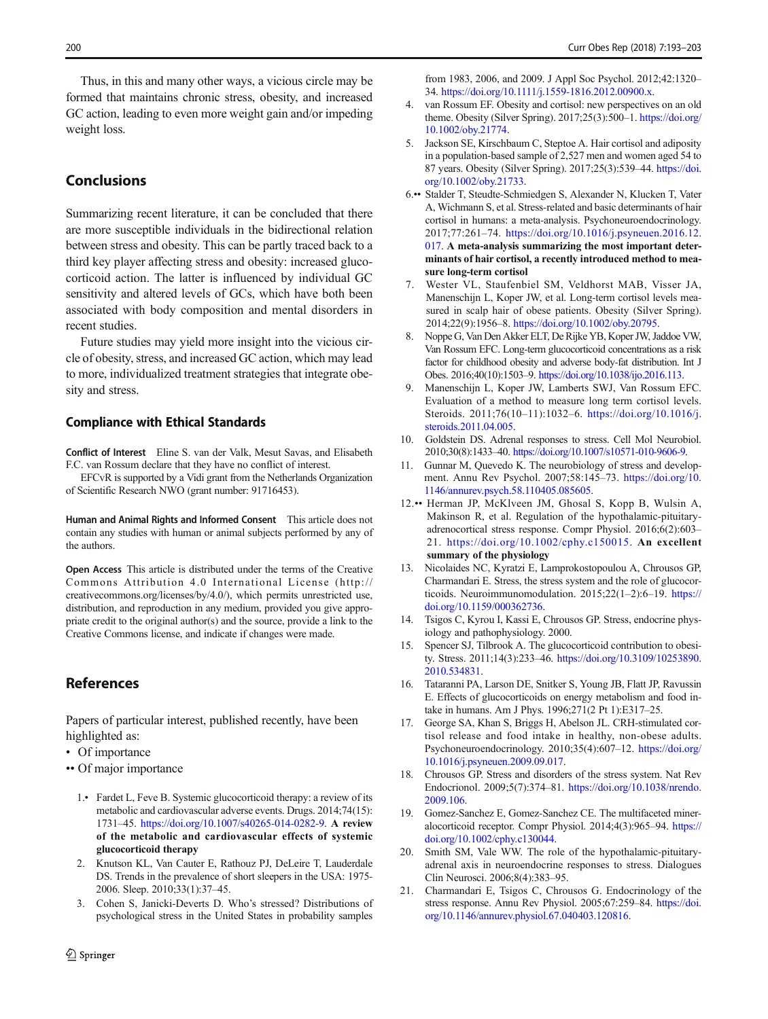<span id="page-7-0"></span>Thus, in this and many other ways, a vicious circle may be formed that maintains chronic stress, obesity, and increased GC action, leading to even more weight gain and/or impeding weight loss.

## Conclusions

Summarizing recent literature, it can be concluded that there are more susceptible individuals in the bidirectional relation between stress and obesity. This can be partly traced back to a third key player affecting stress and obesity: increased glucocorticoid action. The latter is influenced by individual GC sensitivity and altered levels of GCs, which have both been associated with body composition and mental disorders in recent studies.

Future studies may yield more insight into the vicious circle of obesity, stress, and increased GC action, which may lead to more, individualized treatment strategies that integrate obesity and stress.

#### Compliance with Ethical Standards

Conflict of Interest Eline S. van der Valk, Mesut Savas, and Elisabeth F.C. van Rossum declare that they have no conflict of interest.

EFCvR is supported by a Vidi grant from the Netherlands Organization of Scientific Research NWO (grant number: 91716453).

Human and Animal Rights and Informed Consent This article does not contain any studies with human or animal subjects performed by any of the authors.

Open Access This article is distributed under the terms of the Creative Commons Attribution 4.0 International License (http:// creativecommons.org/licenses/by/4.0/), which permits unrestricted use, distribution, and reproduction in any medium, provided you give appropriate credit to the original author(s) and the source, provide a link to the Creative Commons license, and indicate if changes were made.

#### References

Papers of particular interest, published recently, have been highlighted as:

- Of importance
- •• Of major importance
	- 1.• Fardet L, Feve B. Systemic glucocorticoid therapy: a review of its metabolic and cardiovascular adverse events. Drugs. 2014;74(15): 1731–45. [https://doi.org/10.1007/s40265-014-0282-9.](https://doi.org/10.1007/s40265-014-0282-9) A review of the metabolic and cardiovascular effects of systemic glucocorticoid therapy
	- 2. Knutson KL, Van Cauter E, Rathouz PJ, DeLeire T, Lauderdale DS. Trends in the prevalence of short sleepers in the USA: 1975- 2006. Sleep. 2010;33(1):37–45.
	- 3. Cohen S, Janicki-Deverts D. Who's stressed? Distributions of psychological stress in the United States in probability samples

from 1983, 2006, and 2009. J Appl Soc Psychol. 2012;42:1320– 34. [https://doi.org/10.1111/j.1559-1816.2012.00900.x.](https://doi.org/10.1111/j.1559-1816.2012.00900.x)

- 4. van Rossum EF. Obesity and cortisol: new perspectives on an old theme. Obesity (Silver Spring). 2017;25(3):500–1. [https://doi.org/](https://doi.org/10.1002/oby.21774) [10.1002/oby.21774](https://doi.org/10.1002/oby.21774).
- 5. Jackson SE, Kirschbaum C, Steptoe A. Hair cortisol and adiposity in a population-based sample of 2,527 men and women aged 54 to 87 years. Obesity (Silver Spring). 2017;25(3):539–44. [https://doi.](https://doi.org/10.1002/oby.21733) [org/10.1002/oby.21733](https://doi.org/10.1002/oby.21733).
- 6.•• Stalder T, Steudte-Schmiedgen S, Alexander N, Klucken T, Vater A, Wichmann S, et al. Stress-related and basic determinants of hair cortisol in humans: a meta-analysis. Psychoneuroendocrinology. 2017;77:261–74. [https://doi.org/10.1016/j.psyneuen.2016.12.](https://doi.org/10.1016/j.psyneuen.2016.12.017) [017](https://doi.org/10.1016/j.psyneuen.2016.12.017). A meta-analysis summarizing the most important determinants of hair cortisol, a recently introduced method to measure long-term cortisol
- 7. Wester VL, Staufenbiel SM, Veldhorst MAB, Visser JA, Manenschijn L, Koper JW, et al. Long-term cortisol levels measured in scalp hair of obese patients. Obesity (Silver Spring). 2014;22(9):1956–8. [https://doi.org/10.1002/oby.20795.](https://doi.org/10.1002/oby.20795)
- 8. Noppe G, Van Den Akker ELT, De Rijke YB, Koper JW, Jaddoe VW, Van Rossum EFC. Long-term glucocorticoid concentrations as a risk factor for childhood obesity and adverse body-fat distribution. Int J Obes. 2016;40(10):1503–9. [https://doi.org/10.1038/ijo.2016.113.](https://doi.org/10.1038/ijo.2016.113)
- 9. Manenschijn L, Koper JW, Lamberts SWJ, Van Rossum EFC. Evaluation of a method to measure long term cortisol levels. Steroids. 2011;76(10–11):1032–6. [https://doi.org/10.1016/j.](https://doi.org/10.1016/j.steroids.2011.04.005) [steroids.2011.04.005.](https://doi.org/10.1016/j.steroids.2011.04.005)
- 10. Goldstein DS. Adrenal responses to stress. Cell Mol Neurobiol. 2010;30(8):1433–40. [https://doi.org/10.1007/s10571-010-9606-9.](https://doi.org/10.1007/s10571-010-9606-9)
- 11. Gunnar M, Quevedo K. The neurobiology of stress and development. Annu Rev Psychol. 2007;58:145–73. [https://doi.org/10.](https://doi.org/10.1146/annurev.psych.58.110405.085605) [1146/annurev.psych.58.110405.085605](https://doi.org/10.1146/annurev.psych.58.110405.085605).
- 12.•• Herman JP, McKlveen JM, Ghosal S, Kopp B, Wulsin A, Makinson R, et al. Regulation of the hypothalamic-pituitaryadrenocortical stress response. Compr Physiol. 2016;6(2):603– 21. <https://doi.org/10.1002/cphy.c150015>. An excellent summary of the physiology
- 13. Nicolaides NC, Kyratzi E, Lamprokostopoulou A, Chrousos GP, Charmandari E. Stress, the stress system and the role of glucocorticoids. Neuroimmunomodulation. 2015;22(1–2):6–19. [https://](https://doi.org/10.1159/000362736) [doi.org/10.1159/000362736.](https://doi.org/10.1159/000362736)
- 14. Tsigos C, Kyrou I, Kassi E, Chrousos GP. Stress, endocrine physiology and pathophysiology. 2000.
- 15. Spencer SJ, Tilbrook A. The glucocorticoid contribution to obesity. Stress. 2011;14(3):233–46. [https://doi.org/10.3109/10253890.](https://doi.org/10.3109/10253890.2010.534831) [2010.534831.](https://doi.org/10.3109/10253890.2010.534831)
- 16. Tataranni PA, Larson DE, Snitker S, Young JB, Flatt JP, Ravussin E. Effects of glucocorticoids on energy metabolism and food intake in humans. Am J Phys. 1996;271(2 Pt 1):E317–25.
- 17. George SA, Khan S, Briggs H, Abelson JL. CRH-stimulated cortisol release and food intake in healthy, non-obese adults. Psychoneuroendocrinology. 2010;35(4):607–12. [https://doi.org/](https://doi.org/10.1016/j.psyneuen.2009.09.017) [10.1016/j.psyneuen.2009.09.017](https://doi.org/10.1016/j.psyneuen.2009.09.017).
- 18. Chrousos GP. Stress and disorders of the stress system. Nat Rev Endocrionol. 2009;5(7):374–81. [https://doi.org/10.1038/nrendo.](https://doi.org/10.1038/nrendo.2009.106) [2009.106](https://doi.org/10.1038/nrendo.2009.106).
- 19. Gomez-Sanchez E, Gomez-Sanchez CE. The multifaceted mineralocorticoid receptor. Compr Physiol. 2014;4(3):965–94. [https://](https://doi.org/10.1002/cphy.c130044) [doi.org/10.1002/cphy.c130044.](https://doi.org/10.1002/cphy.c130044)
- Smith SM, Vale WW. The role of the hypothalamic-pituitaryadrenal axis in neuroendocrine responses to stress. Dialogues Clin Neurosci. 2006;8(4):383–95.
- 21. Charmandari E, Tsigos C, Chrousos G. Endocrinology of the stress response. Annu Rev Physiol. 2005;67:259–84. [https://doi.](https://doi.org/10.1146/annurev.physiol.67.040403.120816) [org/10.1146/annurev.physiol.67.040403.120816.](https://doi.org/10.1146/annurev.physiol.67.040403.120816)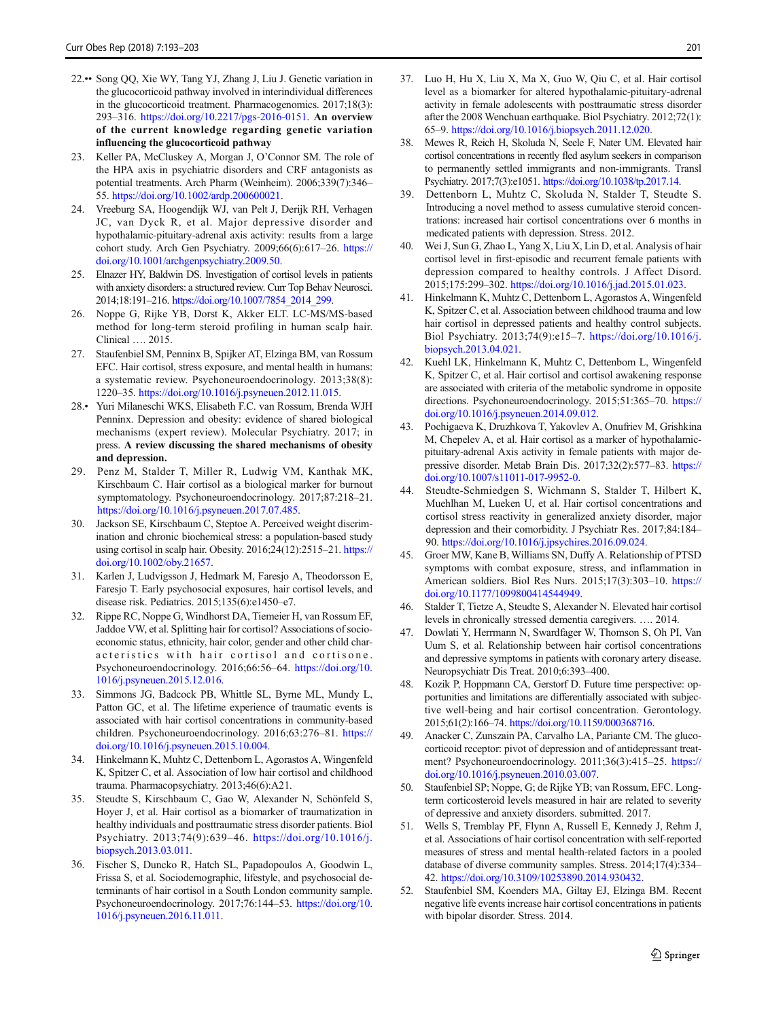- <span id="page-8-0"></span>22.•• Song QQ, Xie WY, Tang YJ, Zhang J, Liu J. Genetic variation in the glucocorticoid pathway involved in interindividual differences in the glucocorticoid treatment. Pharmacogenomics. 2017;18(3): 293–316. <https://doi.org/10.2217/pgs-2016-0151>. An overview of the current knowledge regarding genetic variation influencing the glucocorticoid pathway
- 23. Keller PA, McCluskey A, Morgan J, O'Connor SM. The role of the HPA axis in psychiatric disorders and CRF antagonists as potential treatments. Arch Pharm (Weinheim). 2006;339(7):346– 55. [https://doi.org/10.1002/ardp.200600021.](https://doi.org/10.1002/ardp.200600021)
- 24. Vreeburg SA, Hoogendijk WJ, van Pelt J, Derijk RH, Verhagen JC, van Dyck R, et al. Major depressive disorder and hypothalamic-pituitary-adrenal axis activity: results from a large cohort study. Arch Gen Psychiatry. 2009;66(6):617–26. [https://](https://doi.org/10.1001/archgenpsychiatry.2009.50) [doi.org/10.1001/archgenpsychiatry.2009.50](https://doi.org/10.1001/archgenpsychiatry.2009.50).
- 25. Elnazer HY, Baldwin DS. Investigation of cortisol levels in patients with anxiety disorders: a structured review. Curr Top Behav Neurosci. 2014;18:191–216. [https://doi.org/10.1007/7854\\_2014\\_299.](https://doi.org/10.1007/7854_2014_299)
- 26. Noppe G, Rijke YB, Dorst K, Akker ELT. LC-MS/MS-based method for long-term steroid profiling in human scalp hair. Clinical …. 2015.
- 27. Staufenbiel SM, Penninx B, Spijker AT, Elzinga BM, van Rossum EFC. Hair cortisol, stress exposure, and mental health in humans: a systematic review. Psychoneuroendocrinology. 2013;38(8): 1220–35. [https://doi.org/10.1016/j.psyneuen.2012.11.015.](https://doi.org/10.1016/j.psyneuen.2012.11.015)
- 28.• Yuri Milaneschi WKS, Elisabeth F.C. van Rossum, Brenda WJH Penninx. Depression and obesity: evidence of shared biological mechanisms (expert review). Molecular Psychiatry. 2017; in press. A review discussing the shared mechanisms of obesity and depression.
- 29. Penz M, Stalder T, Miller R, Ludwig VM, Kanthak MK, Kirschbaum C. Hair cortisol as a biological marker for burnout symptomatology. Psychoneuroendocrinology. 2017;87:218–21. [https://doi.org/10.1016/j.psyneuen.2017.07.485.](https://doi.org/10.1016/j.psyneuen.2017.07.485)
- 30. Jackson SE, Kirschbaum C, Steptoe A. Perceived weight discrimination and chronic biochemical stress: a population-based study using cortisol in scalp hair. Obesity. 2016;24(12):2515–21. [https://](https://doi.org/10.1002/oby.21657) [doi.org/10.1002/oby.21657](https://doi.org/10.1002/oby.21657).
- 31. Karlen J, Ludvigsson J, Hedmark M, Faresjo A, Theodorsson E, Faresjo T. Early psychosocial exposures, hair cortisol levels, and disease risk. Pediatrics. 2015;135(6):e1450–e7.
- 32. Rippe RC, Noppe G, Windhorst DA, Tiemeier H, van Rossum EF, Jaddoe VW, et al. Splitting hair for cortisol? Associations of socioeconomic status, ethnicity, hair color, gender and other child characteristics with hair cortisol and cortisone. Psychoneuroendocrinology. 2016;66:56–64. [https://doi.org/10.](https://doi.org/10.1016/j.psyneuen.2015.12.016) [1016/j.psyneuen.2015.12.016.](https://doi.org/10.1016/j.psyneuen.2015.12.016)
- 33. Simmons JG, Badcock PB, Whittle SL, Byrne ML, Mundy L, Patton GC, et al. The lifetime experience of traumatic events is associated with hair cortisol concentrations in community-based children. Psychoneuroendocrinology. 2016;63:276–81. [https://](https://doi.org/10.1016/j.psyneuen.2015.10.004) [doi.org/10.1016/j.psyneuen.2015.10.004](https://doi.org/10.1016/j.psyneuen.2015.10.004).
- 34. Hinkelmann K, Muhtz C, Dettenborn L, Agorastos A, Wingenfeld K, Spitzer C, et al. Association of low hair cortisol and childhood trauma. Pharmacopsychiatry. 2013;46(6):A21.
- 35. Steudte S, Kirschbaum C, Gao W, Alexander N, Schönfeld S, Hoyer J, et al. Hair cortisol as a biomarker of traumatization in healthy individuals and posttraumatic stress disorder patients. Biol Psychiatry. 2013;74(9):639–46. [https://doi.org/10.1016/j.](https://doi.org/10.1016/j.biopsych.2013.03.011) [biopsych.2013.03.011](https://doi.org/10.1016/j.biopsych.2013.03.011).
- 36. Fischer S, Duncko R, Hatch SL, Papadopoulos A, Goodwin L, Frissa S, et al. Sociodemographic, lifestyle, and psychosocial determinants of hair cortisol in a South London community sample. Psychoneuroendocrinology. 2017;76:144–53. [https://doi.org/10.](https://doi.org/10.1016/j.psyneuen.2016.11.011) [1016/j.psyneuen.2016.11.011](https://doi.org/10.1016/j.psyneuen.2016.11.011).
- 37. Luo H, Hu X, Liu X, Ma X, Guo W, Qiu C, et al. Hair cortisol level as a biomarker for altered hypothalamic-pituitary-adrenal activity in female adolescents with posttraumatic stress disorder after the 2008 Wenchuan earthquake. Biol Psychiatry. 2012;72(1): 65–9. <https://doi.org/10.1016/j.biopsych.2011.12.020>.
- 38. Mewes R, Reich H, Skoluda N, Seele F, Nater UM. Elevated hair cortisol concentrations in recently fled asylum seekers in comparison to permanently settled immigrants and non-immigrants. Transl Psychiatry. 2017;7(3):e1051. [https://doi.org/10.1038/tp.2017.14.](https://doi.org/10.1038/tp.2017.14)
- 39. Dettenborn L, Muhtz C, Skoluda N, Stalder T, Steudte S. Introducing a novel method to assess cumulative steroid concentrations: increased hair cortisol concentrations over 6 months in medicated patients with depression. Stress. 2012.
- 40. Wei J, Sun G, Zhao L, Yang X, Liu X, Lin D, et al. Analysis of hair cortisol level in first-episodic and recurrent female patients with depression compared to healthy controls. J Affect Disord. 2015;175:299–302. <https://doi.org/10.1016/j.jad.2015.01.023>.
- 41. Hinkelmann K, Muhtz C, Dettenborn L, Agorastos A, Wingenfeld K, Spitzer C, et al. Association between childhood trauma and low hair cortisol in depressed patients and healthy control subjects. Biol Psychiatry. 2013;74(9):e15–7. [https://doi.org/10.1016/j.](https://doi.org/10.1016/j.biopsych.2013.04.021) [biopsych.2013.04.021](https://doi.org/10.1016/j.biopsych.2013.04.021).
- 42. Kuehl LK, Hinkelmann K, Muhtz C, Dettenborn L, Wingenfeld K, Spitzer C, et al. Hair cortisol and cortisol awakening response are associated with criteria of the metabolic syndrome in opposite directions. Psychoneuroendocrinology. 2015;51:365–70. [https://](https://doi.org/10.1016/j.psyneuen.2014.09.012) [doi.org/10.1016/j.psyneuen.2014.09.012.](https://doi.org/10.1016/j.psyneuen.2014.09.012)
- 43. Pochigaeva K, Druzhkova T, Yakovlev A, Onufriev M, Grishkina M, Chepelev A, et al. Hair cortisol as a marker of hypothalamicpituitary-adrenal Axis activity in female patients with major depressive disorder. Metab Brain Dis. 2017;32(2):577–83. [https://](https://doi.org/10.1007/s11011-017-9952-0) [doi.org/10.1007/s11011-017-9952-0](https://doi.org/10.1007/s11011-017-9952-0).
- 44. Steudte-Schmiedgen S, Wichmann S, Stalder T, Hilbert K, Muehlhan M, Lueken U, et al. Hair cortisol concentrations and cortisol stress reactivity in generalized anxiety disorder, major depression and their comorbidity. J Psychiatr Res. 2017;84:184– 90. <https://doi.org/10.1016/j.jpsychires.2016.09.024>.
- 45. Groer MW, Kane B, Williams SN, Duffy A. Relationship of PTSD symptoms with combat exposure, stress, and inflammation in American soldiers. Biol Res Nurs. 2015;17(3):303–10. [https://](https://doi.org/10.1177/1099800414544949) [doi.org/10.1177/1099800414544949.](https://doi.org/10.1177/1099800414544949)
- 46. Stalder T, Tietze A, Steudte S, Alexander N. Elevated hair cortisol levels in chronically stressed dementia caregivers. …. 2014.
- 47. Dowlati Y, Herrmann N, Swardfager W, Thomson S, Oh PI, Van Uum S, et al. Relationship between hair cortisol concentrations and depressive symptoms in patients with coronary artery disease. Neuropsychiatr Dis Treat. 2010;6:393–400.
- 48. Kozik P, Hoppmann CA, Gerstorf D. Future time perspective: opportunities and limitations are differentially associated with subjective well-being and hair cortisol concentration. Gerontology. 2015;61(2):166–74. [https://doi.org/10.1159/000368716.](https://doi.org/10.1159/000368716)
- 49. Anacker C, Zunszain PA, Carvalho LA, Pariante CM. The glucocorticoid receptor: pivot of depression and of antidepressant treatment? Psychoneuroendocrinology. 2011;36(3):415–25. [https://](https://doi.org/10.1016/j.psyneuen.2010.03.007) [doi.org/10.1016/j.psyneuen.2010.03.007.](https://doi.org/10.1016/j.psyneuen.2010.03.007)
- 50. Staufenbiel SP; Noppe, G; de Rijke YB; van Rossum, EFC. Longterm corticosteroid levels measured in hair are related to severity of depressive and anxiety disorders. submitted. 2017.
- 51. Wells S, Tremblay PF, Flynn A, Russell E, Kennedy J, Rehm J, et al. Associations of hair cortisol concentration with self-reported measures of stress and mental health-related factors in a pooled database of diverse community samples. Stress. 2014;17(4):334– 42. <https://doi.org/10.3109/10253890.2014.930432>.
- 52. Staufenbiel SM, Koenders MA, Giltay EJ, Elzinga BM. Recent negative life events increase hair cortisol concentrations in patients with bipolar disorder. Stress. 2014.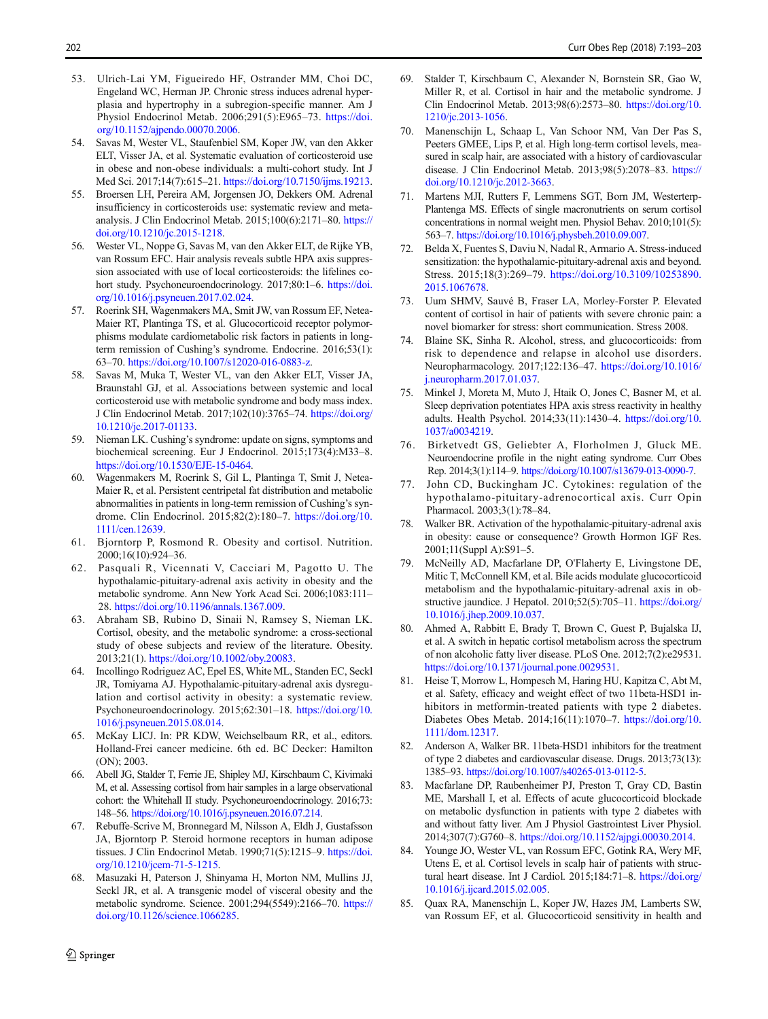- <span id="page-9-0"></span>53. Ulrich-Lai YM, Figueiredo HF, Ostrander MM, Choi DC, Engeland WC, Herman JP. Chronic stress induces adrenal hyperplasia and hypertrophy in a subregion-specific manner. Am J Physiol Endocrinol Metab. 2006;291(5):E965–73. [https://doi.](https://doi.org/10.1152/ajpendo.00070.2006) [org/10.1152/ajpendo.00070.2006](https://doi.org/10.1152/ajpendo.00070.2006).
- 54. Savas M, Wester VL, Staufenbiel SM, Koper JW, van den Akker ELT, Visser JA, et al. Systematic evaluation of corticosteroid use in obese and non-obese individuals: a multi-cohort study. Int J Med Sci. 2017;14(7):615–21. <https://doi.org/10.7150/ijms.19213>.
- 55. Broersen LH, Pereira AM, Jorgensen JO, Dekkers OM. Adrenal insufficiency in corticosteroids use: systematic review and metaanalysis. J Clin Endocrinol Metab. 2015;100(6):2171–80. [https://](https://doi.org/10.1210/jc.2015-1218) [doi.org/10.1210/jc.2015-1218](https://doi.org/10.1210/jc.2015-1218).
- 56. Wester VL, Noppe G, Savas M, van den Akker ELT, de Rijke YB, van Rossum EFC. Hair analysis reveals subtle HPA axis suppression associated with use of local corticosteroids: the lifelines cohort study. Psychoneuroendocrinology. 2017;80:1–6. [https://doi.](https://doi.org/10.1016/j.psyneuen.2017.02.024) [org/10.1016/j.psyneuen.2017.02.024.](https://doi.org/10.1016/j.psyneuen.2017.02.024)
- 57. Roerink SH, Wagenmakers MA, Smit JW, van Rossum EF, Netea-Maier RT, Plantinga TS, et al. Glucocorticoid receptor polymorphisms modulate cardiometabolic risk factors in patients in longterm remission of Cushing's syndrome. Endocrine. 2016;53(1): 63–70. [https://doi.org/10.1007/s12020-016-0883-z.](https://doi.org/10.1007/s12020-016-0883-z)
- 58. Savas M, Muka T, Wester VL, van den Akker ELT, Visser JA, Braunstahl GJ, et al. Associations between systemic and local corticosteroid use with metabolic syndrome and body mass index. J Clin Endocrinol Metab. 2017;102(10):3765–74. [https://doi.org/](https://doi.org/10.1210/jc.2017-01133) [10.1210/jc.2017-01133.](https://doi.org/10.1210/jc.2017-01133)
- 59. Nieman LK. Cushing's syndrome: update on signs, symptoms and biochemical screening. Eur J Endocrinol. 2015;173(4):M33–8. [https://doi.org/10.1530/EJE-15-0464.](https://doi.org/10.1530/EJE-15-0464)
- 60. Wagenmakers M, Roerink S, Gil L, Plantinga T, Smit J, Netea-Maier R, et al. Persistent centripetal fat distribution and metabolic abnormalities in patients in long-term remission of Cushing's syndrome. Clin Endocrinol. 2015;82(2):180–7. [https://doi.org/10.](https://doi.org/10.1111/cen.12639) [1111/cen.12639](https://doi.org/10.1111/cen.12639).
- 61. Bjorntorp P, Rosmond R. Obesity and cortisol. Nutrition. 2000;16(10):924–36.
- 62. Pasquali R, Vicennati V, Cacciari M, Pagotto U. The hypothalamic-pituitary-adrenal axis activity in obesity and the metabolic syndrome. Ann New York Acad Sci. 2006;1083:111– 28. <https://doi.org/10.1196/annals.1367.009>.
- 63. Abraham SB, Rubino D, Sinaii N, Ramsey S, Nieman LK. Cortisol, obesity, and the metabolic syndrome: a cross-sectional study of obese subjects and review of the literature. Obesity. 2013;21(1). <https://doi.org/10.1002/oby.20083>.
- Incollingo Rodriguez AC, Epel ES, White ML, Standen EC, Seckl JR, Tomiyama AJ. Hypothalamic-pituitary-adrenal axis dysregulation and cortisol activity in obesity: a systematic review. Psychoneuroendocrinology. 2015;62:301–18. [https://doi.org/10.](https://doi.org/10.1016/j.psyneuen.2015.08.014) [1016/j.psyneuen.2015.08.014.](https://doi.org/10.1016/j.psyneuen.2015.08.014)
- 65. McKay LICJ. In: PR KDW, Weichselbaum RR, et al., editors. Holland-Frei cancer medicine. 6th ed. BC Decker: Hamilton (ON); 2003.
- 66. Abell JG, Stalder T, Ferrie JE, Shipley MJ, Kirschbaum C, Kivimaki M, et al. Assessing cortisol from hair samples in a large observational cohort: the Whitehall II study. Psychoneuroendocrinology. 2016;73: 148–56. <https://doi.org/10.1016/j.psyneuen.2016.07.214>.
- 67. Rebuffe-Scrive M, Bronnegard M, Nilsson A, Eldh J, Gustafsson JA, Bjorntorp P. Steroid hormone receptors in human adipose tissues. J Clin Endocrinol Metab. 1990;71(5):1215–9. [https://doi.](https://doi.org/10.1210/jcem-71-5-1215) [org/10.1210/jcem-71-5-1215](https://doi.org/10.1210/jcem-71-5-1215).
- 68. Masuzaki H, Paterson J, Shinyama H, Morton NM, Mullins JJ, Seckl JR, et al. A transgenic model of visceral obesity and the metabolic syndrome. Science. 2001;294(5549):2166–70. [https://](https://doi.org/10.1126/science.1066285) [doi.org/10.1126/science.1066285.](https://doi.org/10.1126/science.1066285)
- 69. Stalder T, Kirschbaum C, Alexander N, Bornstein SR, Gao W, Miller R, et al. Cortisol in hair and the metabolic syndrome. J Clin Endocrinol Metab. 2013;98(6):2573–80. [https://doi.org/10.](https://doi.org/10.1210/jc.2013-1056) [1210/jc.2013-1056.](https://doi.org/10.1210/jc.2013-1056)
- 70. Manenschijn L, Schaap L, Van Schoor NM, Van Der Pas S, Peeters GMEE, Lips P, et al. High long-term cortisol levels, measured in scalp hair, are associated with a history of cardiovascular disease. J Clin Endocrinol Metab. 2013;98(5):2078–83. [https://](https://doi.org/10.1210/jc.2012-3663) [doi.org/10.1210/jc.2012-3663](https://doi.org/10.1210/jc.2012-3663).
- 71. Martens MJI, Rutters F, Lemmens SGT, Born JM, Westerterp-Plantenga MS. Effects of single macronutrients on serum cortisol concentrations in normal weight men. Physiol Behav. 2010;101(5): 563–7. [https://doi.org/10.1016/j.physbeh.2010.09.007.](https://doi.org/10.1016/j.physbeh.2010.09.007)
- 72. Belda X, Fuentes S, Daviu N, Nadal R, Armario A. Stress-induced sensitization: the hypothalamic-pituitary-adrenal axis and beyond. Stress. 2015;18(3):269–79. [https://doi.org/10.3109/10253890.](https://doi.org/10.3109/10253890.2015.1067678) [2015.1067678](https://doi.org/10.3109/10253890.2015.1067678).
- 73. Uum SHMV, Sauvé B, Fraser LA, Morley-Forster P. Elevated content of cortisol in hair of patients with severe chronic pain: a novel biomarker for stress: short communication. Stress 2008.
- 74. Blaine SK, Sinha R. Alcohol, stress, and glucocorticoids: from risk to dependence and relapse in alcohol use disorders. Neuropharmacology. 2017;122:136–47. [https://doi.org/10.1016/](https://doi.org/10.1016/j.neuropharm.2017.01.037) [j.neuropharm.2017.01.037.](https://doi.org/10.1016/j.neuropharm.2017.01.037)
- 75. Minkel J, Moreta M, Muto J, Htaik O, Jones C, Basner M, et al. Sleep deprivation potentiates HPA axis stress reactivity in healthy adults. Health Psychol. 2014;33(11):1430–4. [https://doi.org/10.](https://doi.org/10.1037/a0034219) [1037/a0034219.](https://doi.org/10.1037/a0034219)
- 76. Birketvedt GS, Geliebter A, Florholmen J, Gluck ME. Neuroendocrine profile in the night eating syndrome. Curr Obes Rep. 2014;3(1):114–9. [https://doi.org/10.1007/s13679-013-0090-7.](https://doi.org/10.1007/s13679-013-0090-7)
- 77. John CD, Buckingham JC. Cytokines: regulation of the hypothalamo-pituitary-adrenocortical axis. Curr Opin Pharmacol. 2003;3(1):78–84.
- 78. Walker BR. Activation of the hypothalamic-pituitary-adrenal axis in obesity: cause or consequence? Growth Hormon IGF Res. 2001;11(Suppl A):S91–5.
- McNeilly AD, Macfarlane DP, O'Flaherty E, Livingstone DE, Mitic T, McConnell KM, et al. Bile acids modulate glucocorticoid metabolism and the hypothalamic-pituitary-adrenal axis in obstructive jaundice. J Hepatol. 2010;52(5):705–11. [https://doi.org/](https://doi.org/10.1016/j.jhep.2009.10.037) [10.1016/j.jhep.2009.10.037](https://doi.org/10.1016/j.jhep.2009.10.037).
- 80. Ahmed A, Rabbitt E, Brady T, Brown C, Guest P, Bujalska IJ, et al. A switch in hepatic cortisol metabolism across the spectrum of non alcoholic fatty liver disease. PLoS One. 2012;7(2):e29531. <https://doi.org/10.1371/journal.pone.0029531>.
- 81. Heise T, Morrow L, Hompesch M, Haring HU, Kapitza C, Abt M, et al. Safety, efficacy and weight effect of two 11beta-HSD1 inhibitors in metformin-treated patients with type 2 diabetes. Diabetes Obes Metab. 2014;16(11):1070–7. [https://doi.org/10.](https://doi.org/10.1111/dom.12317) [1111/dom.12317.](https://doi.org/10.1111/dom.12317)
- 82. Anderson A, Walker BR. 11beta-HSD1 inhibitors for the treatment of type 2 diabetes and cardiovascular disease. Drugs. 2013;73(13): 1385–93. <https://doi.org/10.1007/s40265-013-0112-5>.
- 83. Macfarlane DP, Raubenheimer PJ, Preston T, Gray CD, Bastin ME, Marshall I, et al. Effects of acute glucocorticoid blockade on metabolic dysfunction in patients with type 2 diabetes with and without fatty liver. Am J Physiol Gastrointest Liver Physiol. 2014;307(7):G760–8. <https://doi.org/10.1152/ajpgi.00030.2014>.
- 84. Younge JO, Wester VL, van Rossum EFC, Gotink RA, Wery MF, Utens E, et al. Cortisol levels in scalp hair of patients with structural heart disease. Int J Cardiol. 2015;184:71–8. [https://doi.org/](https://doi.org/10.1016/j.ijcard.2015.02.005) [10.1016/j.ijcard.2015.02.005](https://doi.org/10.1016/j.ijcard.2015.02.005).
- 85. Quax RA, Manenschijn L, Koper JW, Hazes JM, Lamberts SW, van Rossum EF, et al. Glucocorticoid sensitivity in health and